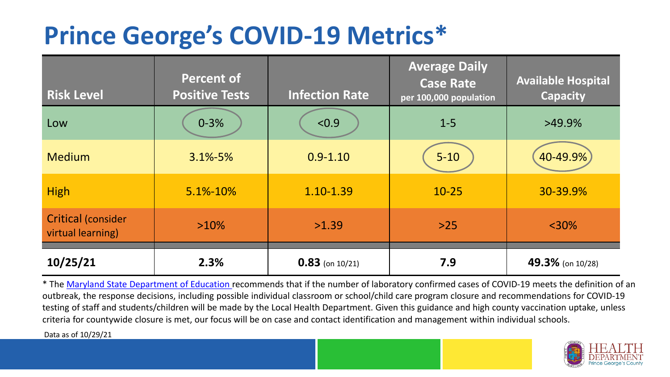## **Prince George's COVID-19 Metrics\***

| <b>Risk Level</b>                              | <b>Percent of</b><br><b>Positive Tests</b> | <b>Infection Rate</b> | <b>Average Daily</b><br><b>Case Rate</b><br>per 100,000 population | <b>Available Hospital</b><br><b>Capacity</b> |
|------------------------------------------------|--------------------------------------------|-----------------------|--------------------------------------------------------------------|----------------------------------------------|
| Low                                            | $0 - 3%$                                   | < 0.9                 | $1 - 5$                                                            | $>49.9\%$                                    |
| <b>Medium</b>                                  | $3.1\% - 5\%$                              | $0.9 - 1.10$          | $5 - 10$                                                           | 40-49.9%                                     |
| <b>High</b>                                    | $5.1\% - 10\%$                             | 1.10-1.39             | $10 - 25$                                                          | 30-39.9%                                     |
| <b>Critical (consider</b><br>virtual learning) | $>10\%$                                    | >1.39                 | $>25$                                                              | $<$ 30%                                      |
| 10/25/21                                       | 2.3%                                       | $0.83$ (on 10/21)     | 7.9                                                                | 49.3% (on 10/28)                             |

\* The [Maryland State Department of Education r](https://earlychildhood.marylandpublicschools.org/system/files/filedepot/3/covid_guidance_full_080420.pdf)ecommends that if the number of laboratory confirmed cases of COVID-19 meets the definition of an outbreak, the response decisions, including possible individual classroom or school/child care program closure and recommendations for COVID-19 testing of staff and students/children will be made by the Local Health Department. Given this guidance and high county vaccination uptake, unless criteria for countywide closure is met, our focus will be on case and contact identification and management within individual schools.

Data as of 10/29/21

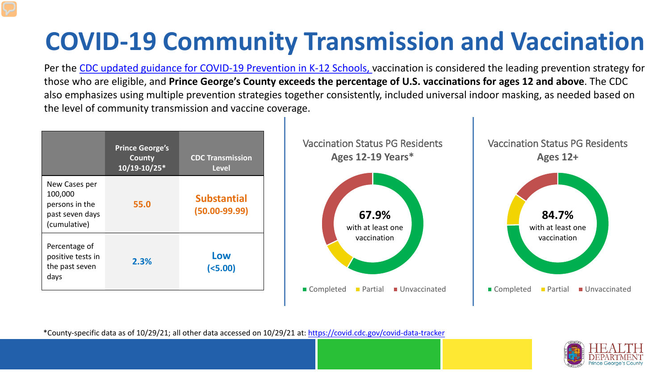# **COVID-19 Community Transmission and Vaccination**

Per the [CDC updated guidance for COVID-19 Prevention in K-12 Schools,](https://www.cdc.gov/coronavirus/2019-ncov/community/schools-childcare/k-12-guidance.html) vaccination is considered the leading prevention strategy for those who are eligible, and **Prince George's County exceeds the percentage of U.S. vaccinations for ages 12 and above**. The CDC also emphasizes using multiple prevention strategies together consistently, included universal indoor masking, as needed based on the level of community transmission and vaccine coverage.



\*County-specific data as of 10/29/21; all other data accessed on 10/29/21 at:<https://covid.cdc.gov/covid-data-tracker>

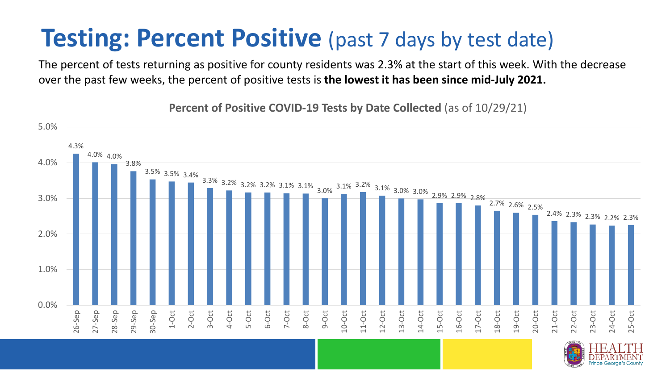### **Testing: Percent Positive** (past 7 days by test date)

The percent of tests returning as positive for county residents was 2.3% at the start of this week. With the decrease over the past few weeks, the percent of positive tests is **the lowest it has been since mid-July 2021.** 

4.3% 4.0% 4.0% 3.8% 3.5% 3.5% 3.4%  $\begin{array}{|l|c|c|c|c|c|}\hline \text{3.2\%} & \text{3.2\%} & \text{3.2\%} & \text{3.1\%} & \text{3.0\%} & \text{3.0\%} & \text{3.0\%} & \text{3.0\%} & \text{2.9\%} & \text{2.9\%} & \text{2.8\%} \hline \end{array}$ 2.7% 2.6% 2.5% 2.4% 2.3% 2.3% 2.2% 2.3% 0.0% 1.0% 2.0% 3.0% 4.0% 5.0% 26-Sep 27-Sep 28-Sep 29-Sep 30-Sep 1-Oct 2-Oct 3-Oct 4-Oct 5-Oct 6-Oct 7-Oct 8-Oct 9-Oct 10-Oct 11-Oct 12-Oct 13-Oct 14-Oct 15-Oct 16-Oct 17-Oct 18-Oct 19-Oct 20-Oct 21-Oct 22-Oct 23-Oct 24-Oct 25-Oct

**Percent of Positive COVID-19 Tests by Date Collected** (as of 10/29/21)

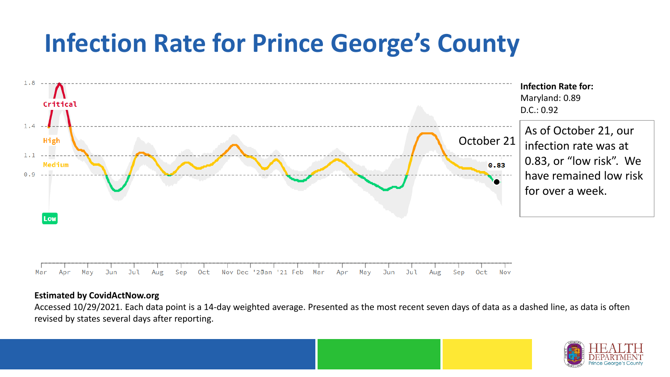## **Infection Rate for Prince George's County**



#### **Estimated by CovidActNow.org**

Accessed 10/29/2021. Each data point is a 14-day weighted average. Presented as the most recent seven days of data as a dashed line, as data is often revised by states several days after reporting.

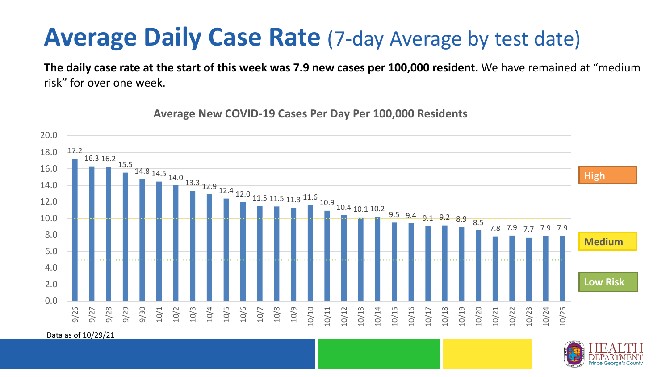### **Average Daily Case Rate** (7-day Average by test date)

**The daily case rate at the start of this week was 7.9 new cases per 100,000 resident.** We have remained at "medium risk" for over one week.



**Average New COVID-19 Cases Per Day Per 100,000 Residents**

Data as of 10/29/21